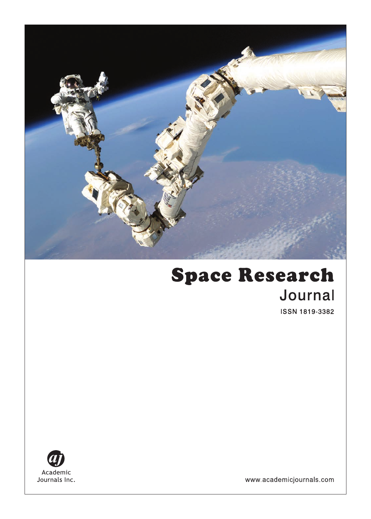

# **Space Research** Journal **ISSN 1819-3382**



www.academicjournals.com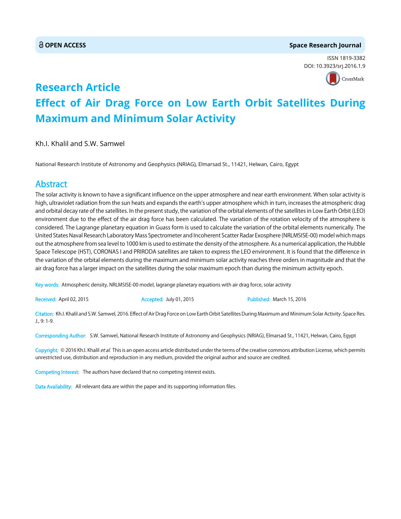### **OPEN ACCESS Space Research Journal**

ISSN 1819-3382 DOI: 10.3923/srj.2016.1.9



# **Research Article Effect of Air Drag Force on Low Earth Orbit Satellites During Maximum and Minimum Solar Activity**

Kh.I. Khalil and S.W. Samwel

National Research Institute of Astronomy and Geophysics (NRIAG), Elmarsad St., 11421, Helwan, Cairo, Egypt

# Abstract

The solar activity is known to have a significant influence on the upper atmosphere and near earth environment. When solar activity is high, ultraviolet radiation from the sun heats and expands the earth's upper atmosphere which in turn, increases the atmospheric drag and orbital decay rate of the satellites. In the present study, the variation of the orbital elements of the satellites in Low Earth Orbit (LEO) environment due to the effect of the air drag force has been calculated. The variation of the rotation velocity of the atmosphere is considered. The Lagrange planetary equation in Guass form is used to calculate the variation of the orbital elements numerically. The United States Naval Research Laboratory Mass Spectrometer and Incoherent Scatter Radar Exosphere (NRLMSISE-00) model which maps out the atmosphere from sea level to 1000 km is used to estimate the density of the atmosphere. As a numerical application, the Hubble Space Telescope (HST), CORONAS I and PRIRODA satellites are taken to express the LEO environment. It is found that the difference in the variation of the orbital elements during the maximum and minimum solar activity reaches three orders in magnitude and that the air drag force has a larger impact on the satellites during the solar maximum epoch than during the minimum activity epoch.

Key words: Atmospheric density, NRLMSISE-00 model, lagrange planetary equations with air drag force, solar activity

Received: April 02, 2015 **Accepted: July 01, 2015** Published: March 15, 2016

Citation: Kh.I. Khalil and S.W. Samwel, 2016. Effect of Air Drag Force on Low Earth Orbit Satellites During Maximum and Minimum Solar Activity. Space Res. J., 9: 1-9.

Corresponding Author: S.W. Samwel, National Research Institute of Astronomy and Geophysics (NRIAG), Elmarsad St., 11421, Helwan, Cairo, Egypt

Copyright: © 2016 Kh.I. Khalil et al. This is an open access article distributed under the terms of the creative commons attribution License, which permits unrestricted use, distribution and reproduction in any medium, provided the original author and source are credited.

Competing Interest: The authors have declared that no competing interest exists.

Data Availability: All relevant data are within the paper and its supporting information files.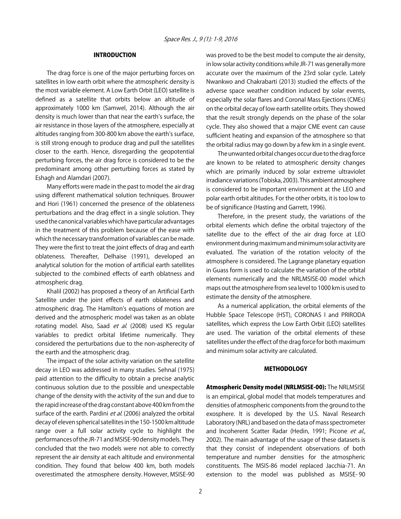### INTRODUCTION

The drag force is one of the major perturbing forces on satellites in low earth orbit where the atmospheric density is the most variable element. A Low Earth Orbit (LEO) satellite is defined as a satellite that orbits below an altitude of approximately 1000 km (Samwel, 2014). Although the air density is much lower than that near the earth's surface, the air resistance in those layers of the atmosphere, especially at altitudes ranging from 300-800 km above the earth's surface, is still strong enough to produce drag and pull the satellites closer to the earth. Hence, disregarding the geopotential perturbing forces, the air drag force is considered to be the predominant among other perturbing forces as stated by Eshagh and Alamdari (2007).

Many efforts were made in the past to model the air drag using different mathematical solution techniques. Brouwer and Hori (1961) concerned the presence of the oblateness perturbations and the drag effect in a single solution. They used the canonical variables which have particular advantages in the treatment of this problem because of the ease with which the necessary transformation of variables can be made. They were the first to treat the joint effects of drag and earth oblateness. Thereafter, Delhaise (1991), developed an analytical solution for the motion of artificial earth satellites subjected to the combined effects of earth oblatness and atmospheric drag.

Khalil (2002) has proposed a theory of an Artificial Earth Satellite under the joint effects of earth oblateness and atmospheric drag. The Hamilton's equations of motion are derived and the atmospheric model was taken as an oblate rotating model. Also, Saad et al. (2008) used KS regular variables to predict orbital lifetime numerically. They considered the perturbations due to the non-aspherecity of the earth and the atmospheric drag.

The impact of the solar activity variation on the satellite decay in LEO was addressed in many studies. Sehnal (1975) paid attention to the difficulty to obtain a precise analytic continuous solution due to the possible and unexpectable change of the density with the activity of the sun and due to the rapid increase of the drag constant above 400 km from the surface of the earth. Pardini et al. (2006) analyzed the orbital decay of eleven spherical satellites in the 150-1500 km altitude range over a full solar activity cycle to highlight the performances of the JR-71 and MSISE-90 density models. They concluded that the two models were not able to correctly represent the air density at each altitude and environmental condition. They found that below 400 km, both models overestimated the atmosphere density. However, MSISE-90

was proved to be the best model to compute the air density, in low solar activity conditions while JR-71 was generally more accurate over the maximum of the 23rd solar cycle. Lately Nwankwo and Chakrabarti (2013) studied the effects of the adverse space weather condition induced by solar events, especially the solar flares and Coronal Mass Ejections (CMEs) on the orbital decay of low earth satellite orbits. They showed that the result strongly depends on the phase of the solar cycle. They also showed that a major CME event can cause sufficient heating and expansion of the atmosphere so that the orbital radius may go down by a few km in a single event.

The unwanted orbital changes occur due to the drag force are known to be related to atmospheric density changes which are primarily induced by solar extreme ultraviolet irradiance variations (Tobiska, 2003). This ambient atmosphere is considered to be important environment at the LEO and polar earth orbit altitudes. For the other orbits, it is too low to be of significance (Hasting and Garrett, 1996).

Therefore, in the present study, the variations of the orbital elements which define the orbital trajectory of the satellite due to the effect of the air drag force at LEO environment during maximum and minimum solar activity are evaluated. The variation of the rotation velocity of the atmosphere is considered. The Lagrange planetary equation in Guass form is used to calculate the variation of the orbital elements numerically and the NRLMSISE-00 model which maps out the atmosphere from sea level to 1000 km is used to estimate the density of the atmosphere.

As a numerical application, the orbital elements of the Hubble Space Telescope (HST), CORONAS I and PRIRODA satellites, which express the Low Earth Orbit (LEO) satellites are used. The variation of the orbital elements of these satellites under the effect of the drag force for both maximum and minimum solar activity are calculated.

#### **METHODOLOGY**

Atmospheric Density model (NRLMSISE-00): The NRLMSISE is an empirical, global model that models temperatures and densities of atmospheric components from the ground to the exosphere. It is developed by the U.S. Naval Research Laboratory (NRL) and based on the data of mass spectrometer and Incoherent Scatter Radar (Hedin, 1991; Picone et al., 2002). The main advantage of the usage of these datasets is that they consist of independent observations of both temperature and number densities for the atmospheric constituents. The MSIS-86 model replaced Jacchia-71. An extension to the model was published as MSISE- 90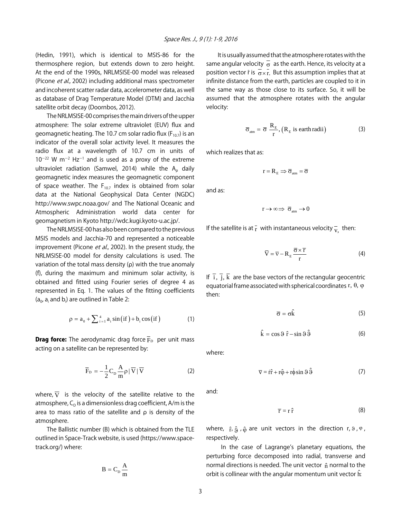(Hedin, 1991), which is identical to MSIS-86 for the thermosphere region, but extends down to zero height. At the end of the 1990s, NRLMSISE-00 model was released (Picone et al., 2002) including additional mass spectrometer and incoherent scatter radar data, accelerometer data, as well as database of Drag Temperature Model (DTM) and Jacchia satellite orbit decay (Doornbos, 2012).

The NRLMSISE-00 comprises the main drivers of the upper atmosphere: The solar extreme ultraviolet (EUV) flux and geomagnetic heating. The 10.7 cm solar radio flux ( $F_{10.7}$ ) is an indicator of the overall solar activity level. It measures the radio flux at a wavelength of 10.7 cm in units of  $10^{-22}$  W m<sup>-2</sup> Hz<sup>-1</sup> and is used as a proxy of the extreme ultraviolet radiation (Samwel, 2014) while the  $A_p$  daily geomagnetic index measures the geomagnetic component of space weather. The  $F_{10.7}$  index is obtained from solar data at the National Geophysical Data Center (NGDC) http://www.swpc.noaa.gov/ and The National Oceanic and Atmospheric Administration world data center for geomagnetism in Kyoto http://wdc.kugi.kyoto-u.ac.jp/.

The NRLMSISE-00 has also been compared to the previous MSIS models and Jacchia-70 and represented a noticeable improvement (Picone et al., 2002). In the present study, the NRLMSISE-00 model for density calculations is used. The variation of the total mass density  $(\rho)$  with the true anomaly (f), during the maximum and minimum solar activity, is obtained and fitted using Fourier series of degree 4 as represented in Eq. 1. The values of the fitting coefficients  $(a_0, a_i$  and  $b_i$ ) are outlined in Table 2:

$$
\rho = a_0 + \sum_{i=1}^{4} a_i \sin\left(i f\right) + b_i \cos\left(i f\right) \tag{1}
$$

**Drag force:** The aerodynamic drag force  $\overline{F}_{D}$  per unit mass acting on a satellite can be represented by:

$$
\overline{F}_{D} = -\frac{1}{2}C_{D}\frac{A}{m}\rho|\overline{V}|\overline{V}
$$
 (2)

where,  $\overline{V}$  is the velocity of the satellite relative to the atmosphere,  $C_D$  is a dimensionless drag coefficient, A/m is the area to mass ratio of the satellite and  $\rho$  is density of the atmosphere.

The Ballistic number (B) which is obtained from the TLE outlined in Space-Track website, is used (https://www.spacetrack.org/) where:

$$
B=C_{\scriptscriptstyle D}\frac{A}{m}
$$

It is usually assumed that the atmosphere rotates with the same angular velocity  $\overline{\sigma}$  as the earth. Hence, its velocity at a position vector  $\bar{r}$  is  $\bar{\sigma} \times \bar{r}$ . But this assumption implies that at infinite distance from the earth, particles are coupled to it in the same way as those close to its surface. So, it will be assumed that the atmosphere rotates with the angular velocity:

$$
\overline{\sigma}_{\text{atm}} = \overline{\sigma} \frac{R_{\text{E}}}{r}, (R_{\text{E}} \text{ is earth radii})
$$
 (3)

which realizes that as:

$$
r=R_{_E}\Longrightarrow \overline{\sigma}_{_{atm}}=\overline{\sigma}
$$

and as:

$$
r\to\infty\,\Rightarrow\ \overline{\sigma}_{_{\rm atm}}\to 0
$$

If the satellite is at  $\bar{r}$  with instantaneous velocity  $\bar{v}$ , then:

$$
\overline{V} = \overline{v} - R_E \frac{\overline{\sigma} \times \overline{r}}{r}
$$
 (4)

If  $\overline{i}$ ,  $\overline{j}$ ,  $\overline{k}$  are the base vectors of the rectangular geocentric equatorial frame associated with spherical coordinates r,  $\theta$ ,  $\varphi$ then:

$$
\overline{\sigma} = \sigma \hat{k} \tag{5}
$$

$$
\hat{\mathbf{k}} = \cos \vartheta \; \hat{\mathbf{r}} - \sin \vartheta \; \hat{\mathbf{\vartheta}} \tag{6}
$$

where:

$$
\overline{v} = \dot{r}\hat{r} + r\hat{\varphi} + r\dot{\varphi}\sin\vartheta\hat{\vartheta}
$$
 (7)

and:

$$
\overline{\mathbf{r}} = \mathbf{r} \,\hat{\mathbf{r}} \tag{8}
$$

where,  $\hat{r}$ ,  $\hat{g}$ ,  $\hat{\varphi}$  are unit vectors in the direction r,  $\vartheta$ ,  $\varphi$ , respectively.

 In the case of Lagrange's planetary equations, the perturbing force decomposed into radial, transverse and normal directions is needed. The unit vector  $\hat{n}$  normal to the orbit is collinear with the angular momentum unit vector  $\hat{\textbf{h}}$ :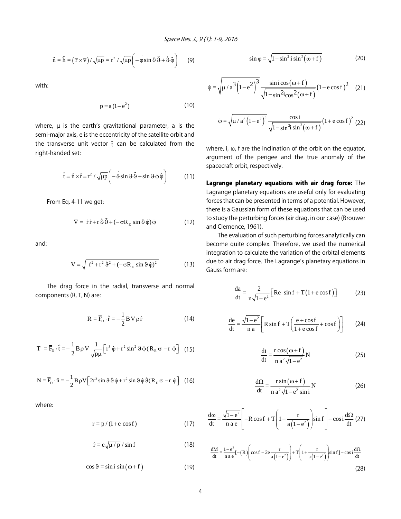$$
\hat{\mathbf{n}} = \hat{\mathbf{h}} = (\overline{\mathbf{r}} \times \overline{\mathbf{v}}) / \sqrt{\mu \mathbf{p}} = \mathbf{r}^2 / \sqrt{\mu \mathbf{p}} \left( -\hat{\mathbf{v}} \sin \vartheta \, \hat{\vartheta} + \hat{\vartheta} \, \hat{\varphi} \right) \tag{9}
$$

with:

$$
p = a\left(1 - e^2\right) \tag{10}
$$

where,  $\mu$  is the earth's gravitational parameter, a is the semi-major axis, e is the eccentricity of the satellite orbit and the transverse unit vector  $\hat{t}$  can be calculated from the right-handed set:

$$
\hat{\mathbf{t}} = \hat{\mathbf{n}} \times \hat{\mathbf{r}} = \mathbf{r}^2 / \sqrt{\mu \mathbf{p}} \left( -9 \sin 9 \hat{\mathbf{S}} + \sin 9 \hat{\boldsymbol{\phi}} \hat{\boldsymbol{\phi}} \right)
$$
(11)

From Eq. 4-11 we get:

$$
\overline{V} = \dot{r}\,\dot{r} + r\,\dot{\vartheta}\,\hat{\vartheta} + (-\sigma R_E \sin \vartheta \,\dot{\varphi})\,\dot{\varphi}
$$
 (12)

and:

$$
V = \sqrt{\dot{r}^2 + r^2 \dot{\vartheta}^2 + (-\sigma R_E \sin \vartheta \dot{\varphi})^2}
$$
 (13)

The drag force in the radial, transverse and normal components (R, T, N) are:

$$
R = \overline{F}_{D} \cdot \hat{r} = -\frac{1}{2} B V \rho \dot{r}
$$
 (14)

$$
T = \overline{F}_{D} \cdot \hat{t} = -\frac{1}{2} B \rho V \frac{1}{\sqrt{p\mu}} \Big[ r^{3} \dot{\phi} + r^{2} \sin^{2} \theta \dot{\phi} (R_{E} \sigma - r \dot{\phi}) \Big]
$$
(15)

$$
N = \overline{F}_{D} \cdot \hat{n} = -\frac{1}{2} B \rho V \left[ 2r^{3} \sin \theta \dot{\theta} \dot{\phi} + r^{2} \sin \theta \dot{\phi} \dot{\theta} (R_{E} \sigma - r \dot{\phi}) \right]
$$
 (16)

where:

$$
r = p / (1 + e \cos f) \tag{17}
$$

$$
\dot{\mathbf{r}} = \mathbf{e}\sqrt{\mu/p} / \sin f \tag{18}
$$

$$
\cos \theta = \sin i \, \sin(\omega + f) \tag{19}
$$

$$
\sin \varphi = \sqrt{1 - \sin^2 i \sin^2 (\omega + f)}
$$
 (20)

$$
\dot{\varphi} = \sqrt{\mu/a^3 \left(1 - e^2\right)^3 \frac{\sin i \cos \left(\omega + f\right)}{\sqrt{1 - \sin^2 i \cos^2 \left(\omega + f\right)}} \left(1 + e \cos f\right)^2} \tag{21}
$$

$$
\dot{\varphi} = \sqrt{\mu/a^3 \left(1 - e^2\right)^3} \frac{\cos i}{\sqrt{1 - \sin^2 i \sin^2 (\omega + f)}} \left(1 + e \cos f\right)^2 (22)
$$

where,  $i, \omega$ ,  $f$  are the inclination of the orbit on the equator, argument of the perigee and the true anomaly of the spacecraft orbit, respectively.

Lagrange planetary equations with air drag force: The Lagrange planetary equations are useful only for evaluating forces that can be presented in terms of a potential. However, there is a Gaussian form of these equations that can be used to study the perturbing forces (air drag, in our case) (Brouwer and Clemence, 1961).

The evaluation of such perturbing forces analytically can become quite complex. Therefore, we used the numerical integration to calculate the variation of the orbital elements due to air drag force. The Lagrange's planetary equations in Gauss form are:

$$
\frac{da}{dt} = \frac{2}{n\sqrt{1 - e^2}} \Big[ \text{Re } \sin f + T \left( 1 + e \cos f \right) \Big] \tag{23}
$$

$$
\frac{de}{dt} = \frac{\sqrt{1 - e^2}}{n a} \left[ R \sin f + T \left( \frac{e + \cos f}{1 + e \cos f} + \cos f \right) \right]
$$
(24)

$$
\frac{di}{dt} = \frac{r \cos(\omega + f)}{n a^2 \sqrt{1 - e^2}} N
$$
 (25)

$$
\frac{d\Omega}{dt} = \frac{r \sin(\omega + f)}{n a^2 \sqrt{1 - e^2} \sin i} N
$$
 (26)

$$
\frac{d\omega}{dt} = \frac{\sqrt{1 - e^2}}{n a e} \left[ -R \cos f + T \left( 1 + \frac{r}{a \left( 1 - e^2 \right)} \right) \sin f \right] - \cos i \frac{d\Omega}{dt} \tag{27}
$$

$$
\frac{dM}{dt} = \frac{1 - e^2}{n a e}[-(R)\left(\cos f - 2e\frac{r}{a(1 - e^2)}\right) + T\left(1 + \frac{r}{a(1 - e^2)}\right)\sin f] - \cos i\frac{d\Omega}{dt}
$$
\n(28)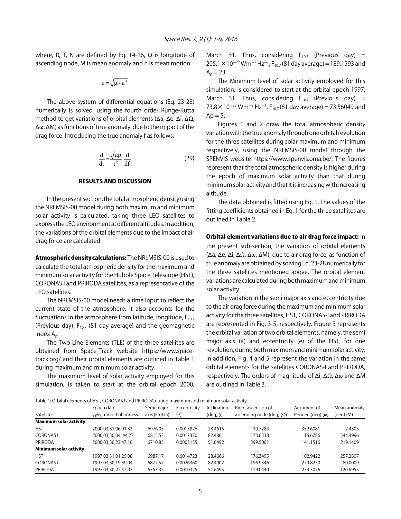where, R, T, N are defined by Eq. 14-16,  $\Omega$  is longitude of ascending node, M is mean anomaly and n is mean motion:

$$
n\!=\!\sqrt{\mu\mathbin{/} a^3}
$$

The above system of differential equations (Eq. 23-28) numerically is solved, using the fourth order Runge-Kutta method to get variations of orbital elements ( $\Delta$ a,  $\Delta$ e,  $\Delta$ i,  $\Delta$  $\Omega$ ,  $\Delta\omega$ ,  $\Delta$ M) as functions of true anomaly, due to the impact of the drag force. Introducing the true anomaly f as follows:

$$
\frac{d}{dt} = \frac{\sqrt{\mu p}}{r^2} \frac{d}{df}
$$
 (29)

#### RESULTS AND DISCUSSION

In the present section, the total atmospheric density using the NRLMSIS-00 model during both maximum and minimum solar activity is calculated, taking three LEO satellites to express the LEO environment at different altitudes. In addition, the variations of the orbital elements due to the impact of air drag force are calculated.

Atmospheric density calculations: The NRLMSIS-00 is used to calculate the total atmospheric density for the maximum and minimum solar activity for the Hubble Space Telescope (HST), CORONAS I and PRIRODA satellites, as a representative of the LEO satellites.

The NRLMSIS-00 model needs a time input to reflect the current state of the atmosphere. It also accounts for the fluctuations in the atmosphere from latitude, longitude,  $F_{10.7}$ (Previous day),  $F_{10.7}$  (81 day average) and the geomagnetic index  $A_n$ .

The Two Line Elements (TLE) of the three satellites are obtained from Space-Track website https://www.spacetrack.org/ and their orbital elements are outlined in Table 1 during maximum and minimum solar activity.

The maximum level of solar activity employed for this simulation, is taken to start at the orbital epoch 2000, March 31. Thus, considering  $F_{10.7}$  (Previous day) = 205.1  $\times$  10<sup>-22</sup> Wm<sup>-2</sup> Hz<sup>-1</sup>, F<sub>10.7</sub> (81 day average) = 189.1593 and  $A_p = 23.$ 

The Minimum level of solar activity employed for this simulation, is considered to start at the orbital epoch 1997, March 31. Thus, considering  $F_{10.7}$  (Previous day) =  $73.8 \times 10^{-22}$  Wm<sup>-2</sup> Hz<sup>-1</sup>, F<sub>10.7</sub> (81 day average) = 73.56049 and  $Ap = 5$ .

Figures 1 and 2 draw the total atmospheric density variation with the true anomaly through one orbital revolution for the three satellites during solar maximum and minimum respectively, using the NRLMSIS-00 model through the SPENVIS website https://www.spenvis.oma.be/. The figures represent that the total atmospheric density is higher during the epoch of maximum solar activity than that during minimum solar activity and that it is increasing with increasing altitude.

The data obtained is fitted using Eq. 1, The values of the fitting coefficients obtained in Eq. 1 for the three satellites are outlined in Table 2.

## Orbital element variations due to air drag force impact: In the present sub-section, the variation of orbital elements  $(\Delta a, \Delta e, \Delta i, \Delta \Omega, \Delta \omega, \Delta M)$ , due to air drag force, as function of true anomaly are obtained by solving Eq. 23-28 numerically for the three satellites mentioned above. The orbital element variations are calculated during both maximum and minimum solar activity.

The variation in the semi major axis and eccentricity due to the air drag force during the maximum and minimum solar activity for the three satellites, HST, CORONAS-I and PRIRODA are represented in Fig. 3-5, respectively. Figure 3 represents the orbital variation of two orbital elements, namely, the semi major axis (a) and eccentricity (e) of the HST, for one revolution, during both maximum and minimum solar activity. In addition, Fig. 4 and 5 represent the variation in the same orbital elements for the satellites CORONAS-I and PRIRODA, respectively. The orders of magnitude of  $\Delta i$ ,  $\Delta \Omega$ ,  $\Delta \omega$  and  $\Delta M$ are outlined in Table 3.

Table 1: Orbital elements of HST, CORONAS I and PRIRODA during maximum and minimum solar activity

|                               | Epoch date           | Semi major    | Eccentricity | Inclination          | Right ascension of              | Argument of              | Mean anomaly |
|-------------------------------|----------------------|---------------|--------------|----------------------|---------------------------------|--------------------------|--------------|
| <b>Satellites</b>             | yyyy:mm:dd:hh:mm:ss  | axis (km) (a) | (e)          | $(\text{deg})$ $(i)$ | ascending node (deg) $(\Omega)$ | Perigee (deg) $(\omega)$ | $deg)$ (M)   |
| <b>Maximum solar activity</b> |                      |               |              |                      |                                 |                          |              |
| <b>HST</b>                    | 2000,03,31,06,01,33  | 6976.05       | 0.0013876    | 28.4615              | 10.7284                         | 352.6081                 | 7.4305       |
| <b>CORONAS1</b>               | 2000,03,30,04, 44,27 | 6815.53       | 0.0017370    | 82.4801              | 173.6538                        | 15.6786                  | 344.4996     |
| <b>PRIRODA</b>                | 2000,03,30,23,47,10  | 6710.85       | 0.0002155    | 51.6492              | 299.5001                        | 141.1516                 | 219.1409     |
| <b>Minimum solar activity</b> |                      |               |              |                      |                                 |                          |              |
| <b>HST</b>                    | 1997,03,31,01,29,08  | 6987.17       | 0.0014723    | 28.4666              | 176.3495                        | 102.9422                 | 257.2807     |
| <b>CORONAS1</b>               | 1997,03,30,19,39,04  | 6877.57       | 0.0026360    | 82.4907              | 196.9346                        | 279.8250                 | 80.0009      |
| <b>PRIRODA</b>                | 1997,03,30,22,37,03  | 6763.35       | 0.0010325    | 51.6495              | 119.0440                        | 239.3076                 | 120.6955     |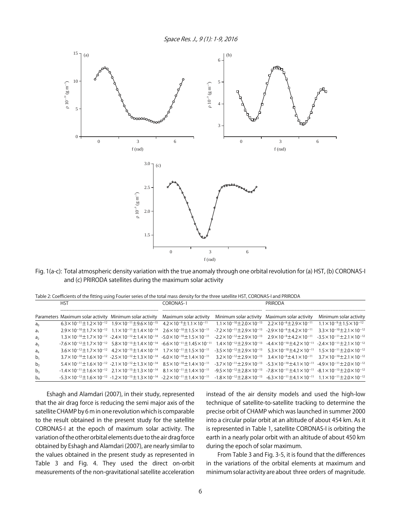Space Res. J., 9 (1): 1-9, 2016



Fig. 1(a-c): Total atmospheric density variation with the true anomaly through one orbital revolution for (a) HST, (b) CORONAS-I and (c) PRIRODA satellites during the maximum solar activity

Table 2: Coefficients of the fitting using Fourier series of the total mass density for the three satellite HST, CORONAS-I and PRIRODA

|                | HST |  | CORONAS-1                                                                                                                                                                                                                                                        | <b>PRIRODA</b>                                                                                                                                                                                     |                        |  |
|----------------|-----|--|------------------------------------------------------------------------------------------------------------------------------------------------------------------------------------------------------------------------------------------------------------------|----------------------------------------------------------------------------------------------------------------------------------------------------------------------------------------------------|------------------------|--|
|                |     |  | Parameters Maximum solar activity Minimum solar activity Maximum solar activity                                                                                                                                                                                  | Minimum solar activity Maximum solar activity                                                                                                                                                      | Minimum solar activity |  |
| a <sub>0</sub> |     |  | $6.3\times10^{-11}$ ±1.2 $\times10^{-12}$ 1.9 $\times10^{-11}$ ±9.6 $\times10^{-15}$ 4.2 $\times10^{-9}$ ±1.1 $\times10^{-11}$ 1.1 $\times10^{-10}$ ±2.0 $\times10^{-13}$ 2.2 $\times10^{-8}$ ±2.9 $\times10^{-11}$ 1.1 $\times10^{-9}$ ±1.5 $\times10^{-12}$    |                                                                                                                                                                                                    |                        |  |
| $a_1$          |     |  | $2.9\times10^{-10}$ ±1.7 $\times10^{-12}$ 1.1 $\times10^{-11}$ ±1.4 $\times10^{-14}$ 2.6 $\times10^{-10}$ ±1.5 $\times10^{-11}$                                                                                                                                  | $-7.2\times10^{-11}$ $\pm$ 2.9 $\times$ 10 <sup>-13</sup> $-2.9\times10^{-9}$ $\pm$ 4.2 $\times$ 10 <sup>-11</sup> $3.3\times10^{-10}$ $\pm$ 2.1 $\times$ 10 <sup>-12</sup>                        |                        |  |
| a <sub>2</sub> |     |  | $1.3\times10^{-10}$ ±1.7 $\times10^{-12}$ -2.4 $\times10^{-12}$ ±1.4 $\times10^{-14}$ -5.0 $\times10^{-10}$ ±1.5 $\times10^{-11}$                                                                                                                                | $-2.2\times10^{-12}$ $\pm$ 2.9 $\times$ 10 <sup>-13</sup> 2.9 $\times$ 10 <sup>-9</sup> $\pm$ 4.2 $\times$ 10 <sup>-11</sup> - 3.5 $\times$ 10 <sup>-11</sup> $\pm$ 2.1 $\times$ 10 <sup>-12</sup> |                        |  |
| a,             |     |  | $-7.6 \times 10^{-12} \pm 1.7 \times 10^{-12}$ $5.8 \times 10^{-13} \pm 1.4 \times 10^{-14}$ $-6.6 \times 10^{-11} \pm 1.45 \times 10^{-11}$                                                                                                                     | $1.4\times10^{-12}$ $\pm$ 2.9 $\times$ 10 <sup>-13</sup> $-4.4\times10^{-10}$ $\pm$ 4.2 $\times$ 10 <sup>-11</sup> $-2.4\times10^{-11}$ $\pm$ 2.1 $\times$ 10 <sup>-12</sup>                       |                        |  |
| $a_4$          |     |  | $3.6\times10^{-12}$ $\pm$ 1.7 $\times$ 10 <sup>-12</sup> 4.2 $\times$ 10 <sup>-15</sup> $\pm$ 1.4 $\times$ 10 <sup>-14</sup> 1.7 $\times$ 10 <sup>-11</sup> $\pm$ 1.5 $\times$ 10 <sup>-11</sup>                                                                 | $-3.5\times10^{-12}$ $\pm$ 2.9 $\times$ 10 <sup>-13</sup> $5.3\times10^{-10}$ $\pm$ 4.2 $\times$ 10 <sup>-11</sup> $1.5\times10^{-11}$ $\pm$ 2.0 $\times$ 10 <sup>-12</sup>                        |                        |  |
| b <sub>1</sub> |     |  | $3.7\times10^{-10}$ ±1.6 $\times10^{-12}$ -2.5 $\times10^{-12}$ ±1.3 $\times10^{-14}$ -6.0 $\times10^{-10}$ ±1.4 $\times10^{-11}$                                                                                                                                | $3.2\times10^{-12} \pm 2.9\times10^{-13}$ $3.4\times10^{-9} \pm 4.1\times10^{-11}$ $3.7\times10^{-10} \pm 2.1\times10^{-12}$                                                                       |                        |  |
| b <sub>2</sub> |     |  | $5.4\times10^{-11}$ $\pm$ 1.6 $\times$ 10 <sup>-12</sup> - 2.1 $\times$ 10 <sup>-12</sup> $\pm$ 1.3 $\times$ 10 <sup>-14</sup> 8.5 $\times$ 10 <sup>-10</sup> $\pm$ 1.4 $\times$ 10 <sup>-11</sup>                                                               | $-3.7\times10^{-11}$ $\pm$ 2.9 $\times$ 10 <sup>-13</sup> $-5.3\times10^{-10}$ $\pm$ 4.1 $\times$ 10 <sup>-11</sup> $-4.9\times10^{-11}$ $\pm$ 2.0 $\times$ 10 <sup>-12</sup>                      |                        |  |
| $b^3$          |     |  | $-1.4\times10^{-11}$ $\pm$ 1.6 $\times$ 10 <sup>-12</sup> 2.1 $\times$ 10 <sup>-13</sup> $\pm$ 1.3 $\times$ 10 <sup>-14</sup> 8.1 $\times$ 10 <sup>-11</sup> $\pm$ 1.4 $\times$ 10 <sup>-11</sup>                                                                | $-9.5\times10^{-12}$ $\pm$ 2.8 $\times$ 10 <sup>-13</sup> $-7.8\times10^{-11}$ $\pm$ 4.1 $\times$ 10 <sup>-11</sup> $-8.1\times10^{-13}$ $\pm$ 2.0 $\times$ 10 <sup>-12</sup>                      |                        |  |
| $b_4$          |     |  | $-5.3\times10^{-12} \pm 1.6\times10^{-12}$ $-1.2\times10^{-13} \pm 1.3\times10^{-14}$ $-2.2\times10^{-11} \pm 1.4\times10^{-11}$ $-1.8\times10^{-12} \pm 2.8\times10^{-13}$ $-6.3\times10^{-11} \pm 4.1\times10^{-11}$ $1.1\times10^{-11} \pm 2.0\times10^{-12}$ |                                                                                                                                                                                                    |                        |  |

Eshagh and Alamdari (2007), in their study, represented that the air drag force is reducing the semi major axis of the satellite CHAMP by 6 m in one revolution which is comparable to the result obtained in the present study for the satellite CORONAS-I at the epoch of maximum solar activity. The variation of the other orbital elements due to the air drag force obtained by Eshagh and Alamdari (2007), are nearly similar to the values obtained in the present study as represented in Table 3 and Fig. 4. They used the direct on-orbit measurements of the non-gravitational satellite acceleration instead of the air density models and used the high-low technique of satellite-to-satellite tracking to determine the precise orbit of CHAMP which was launched in summer 2000 into a circular polar orbit at an altitude of about 454 km. As it is represented in Table 1, satellite CORONAS-I is orbiting the earth in a nearly polar orbit with an altitude of about 450 km during the epoch of solar maximum.

From Table 3 and Fig. 3-5, it is found that the differences in the variations of the orbital elements at maximum and minimum solar activity are about three orders of magnitude.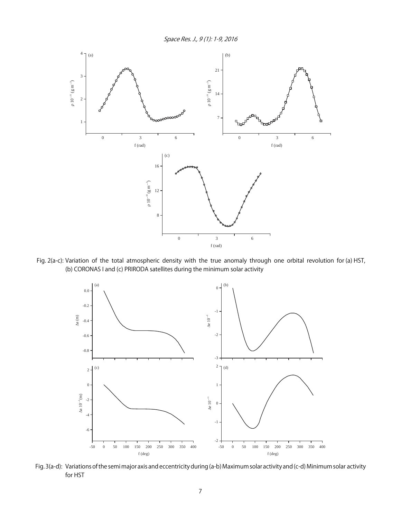Space Res. J., 9 (1): 1-9, 2016



 Fig. 2(a-c): Variation of the total atmospheric density with the true anomaly through one orbital revolution for (a) HST, (b) CORONAS I and (c) PRIRODA satellites during the minimum solar activity



Fig. 3(a-d): Variations of the semi major axis and eccentricity during (a-b) Maximum solar activity and (c-d) Minimum solar activity for HST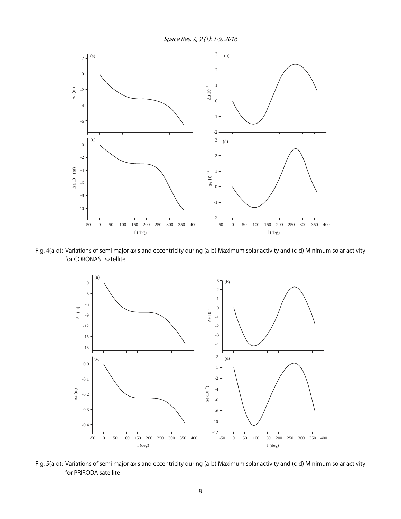Space Res. J., 9 (1): 1-9, 2016



Fig. 4(a-d): Variations of semi major axis and eccentricity during (a-b) Maximum solar activity and (c-d) Minimum solar activity for CORONAS I satellite



Fig. 5(a-d): Variations of semi major axis and eccentricity during (a-b) Maximum solar activity and (c-d) Minimum solar activity for PRIRODA satellite